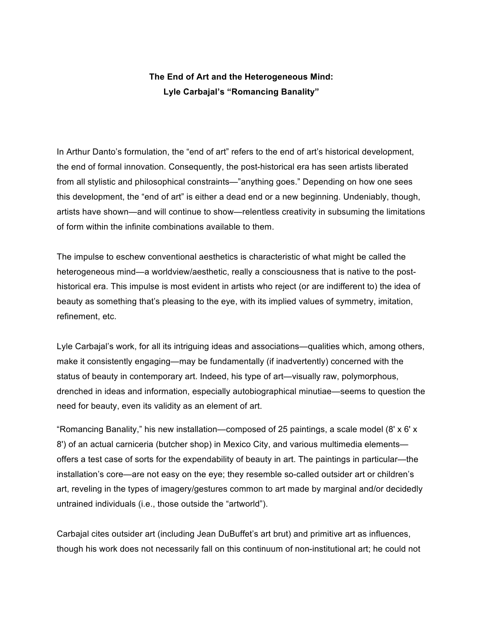## **The End of Art and the Heterogeneous Mind: Lyle Carbajal's "Romancing Banality"**

In Arthur Danto's formulation, the "end of art" refers to the end of art's historical development, the end of formal innovation. Consequently, the post-historical era has seen artists liberated from all stylistic and philosophical constraints—"anything goes." Depending on how one sees this development, the "end of art" is either a dead end or a new beginning. Undeniably, though, artists have shown—and will continue to show—relentless creativity in subsuming the limitations of form within the infinite combinations available to them.

The impulse to eschew conventional aesthetics is characteristic of what might be called the heterogeneous mind—a worldview/aesthetic, really a consciousness that is native to the posthistorical era. This impulse is most evident in artists who reject (or are indifferent to) the idea of beauty as something that's pleasing to the eye, with its implied values of symmetry, imitation, refinement, etc.

Lyle Carbajal's work, for all its intriguing ideas and associations—qualities which, among others, make it consistently engaging—may be fundamentally (if inadvertently) concerned with the status of beauty in contemporary art. Indeed, his type of art—visually raw, polymorphous, drenched in ideas and information, especially autobiographical minutiae—seems to question the need for beauty, even its validity as an element of art.

"Romancing Banality," his new installation—composed of 25 paintings, a scale model (8' x 6' x 8') of an actual carniceria (butcher shop) in Mexico City, and various multimedia elements offers a test case of sorts for the expendability of beauty in art. The paintings in particular—the installation's core—are not easy on the eye; they resemble so-called outsider art or children's art, reveling in the types of imagery/gestures common to art made by marginal and/or decidedly untrained individuals (i.e., those outside the "artworld").

Carbajal cites outsider art (including Jean DuBuffet's art brut) and primitive art as influences, though his work does not necessarily fall on this continuum of non-institutional art; he could not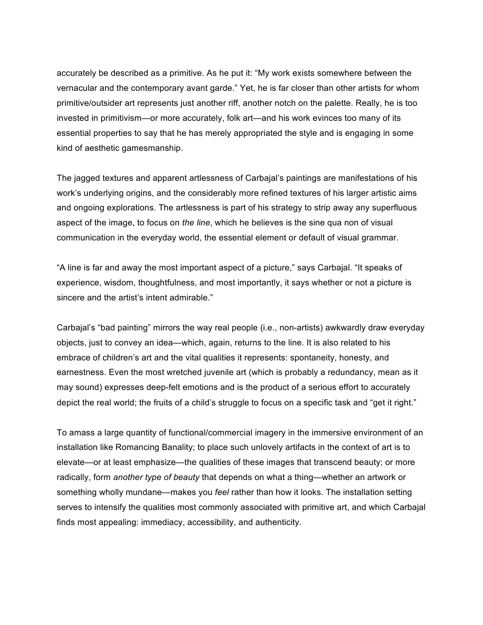accurately be described as a primitive. As he put it: "My work exists somewhere between the vernacular and the contemporary avant garde." Yet, he is far closer than other artists for whom primitive/outsider art represents just another riff, another notch on the palette. Really, he is too invested in primitivism—or more accurately, folk art—and his work evinces too many of its essential properties to say that he has merely appropriated the style and is engaging in some kind of aesthetic gamesmanship.

The jagged textures and apparent artlessness of Carbajal's paintings are manifestations of his work's underlying origins, and the considerably more refined textures of his larger artistic aims and ongoing explorations. The artlessness is part of his strategy to strip away any superfluous aspect of the image, to focus on *the line*, which he believes is the sine qua non of visual communication in the everyday world, the essential element or default of visual grammar.

"A line is far and away the most important aspect of a picture," says Carbajal. "It speaks of experience, wisdom, thoughtfulness, and most importantly, it says whether or not a picture is sincere and the artist's intent admirable."

Carbajal's "bad painting" mirrors the way real people (i.e., non-artists) awkwardly draw everyday objects, just to convey an idea—which, again, returns to the line. It is also related to his embrace of children's art and the vital qualities it represents: spontaneity, honesty, and earnestness. Even the most wretched juvenile art (which is probably a redundancy, mean as it may sound) expresses deep-felt emotions and is the product of a serious effort to accurately depict the real world; the fruits of a child's struggle to focus on a specific task and "get it right."

To amass a large quantity of functional/commercial imagery in the immersive environment of an installation like Romancing Banality; to place such unlovely artifacts in the context of art is to elevate—or at least emphasize—the qualities of these images that transcend beauty; or more radically, form *another type of beauty* that depends on what a thing—whether an artwork or something wholly mundane—makes you *feel* rather than how it looks. The installation setting serves to intensify the qualities most commonly associated with primitive art, and which Carbajal finds most appealing: immediacy, accessibility, and authenticity.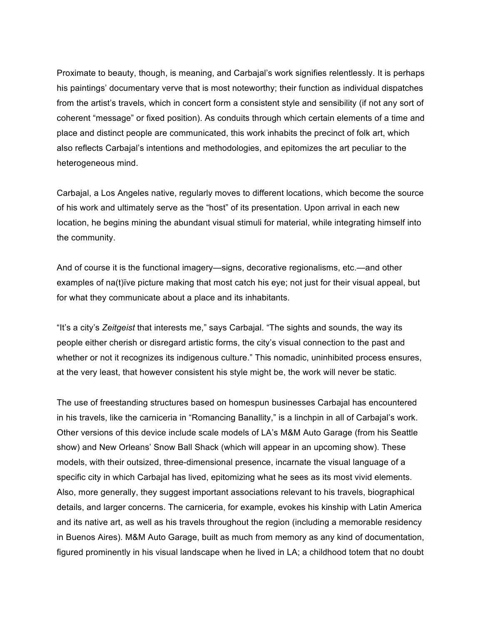Proximate to beauty, though, is meaning, and Carbajal's work signifies relentlessly. It is perhaps his paintings' documentary verve that is most noteworthy; their function as individual dispatches from the artist's travels, which in concert form a consistent style and sensibility (if not any sort of coherent "message" or fixed position). As conduits through which certain elements of a time and place and distinct people are communicated, this work inhabits the precinct of folk art, which also reflects Carbajal's intentions and methodologies, and epitomizes the art peculiar to the heterogeneous mind.

Carbajal, a Los Angeles native, regularly moves to different locations, which become the source of his work and ultimately serve as the "host" of its presentation. Upon arrival in each new location, he begins mining the abundant visual stimuli for material, while integrating himself into the community.

And of course it is the functional imagery—signs, decorative regionalisms, etc.—and other examples of na(t)ïve picture making that most catch his eye; not just for their visual appeal, but for what they communicate about a place and its inhabitants.

"It's a city's *Zeitgeist* that interests me," says Carbajal. "The sights and sounds, the way its people either cherish or disregard artistic forms, the city's visual connection to the past and whether or not it recognizes its indigenous culture." This nomadic, uninhibited process ensures, at the very least, that however consistent his style might be, the work will never be static.

The use of freestanding structures based on homespun businesses Carbajal has encountered in his travels, like the carniceria in "Romancing Banallity," is a linchpin in all of Carbajal's work. Other versions of this device include scale models of LA's M&M Auto Garage (from his Seattle show) and New Orleans' Snow Ball Shack (which will appear in an upcoming show). These models, with their outsized, three-dimensional presence, incarnate the visual language of a specific city in which Carbajal has lived, epitomizing what he sees as its most vivid elements. Also, more generally, they suggest important associations relevant to his travels, biographical details, and larger concerns. The carniceria, for example, evokes his kinship with Latin America and its native art, as well as his travels throughout the region (including a memorable residency in Buenos Aires). M&M Auto Garage, built as much from memory as any kind of documentation, figured prominently in his visual landscape when he lived in LA; a childhood totem that no doubt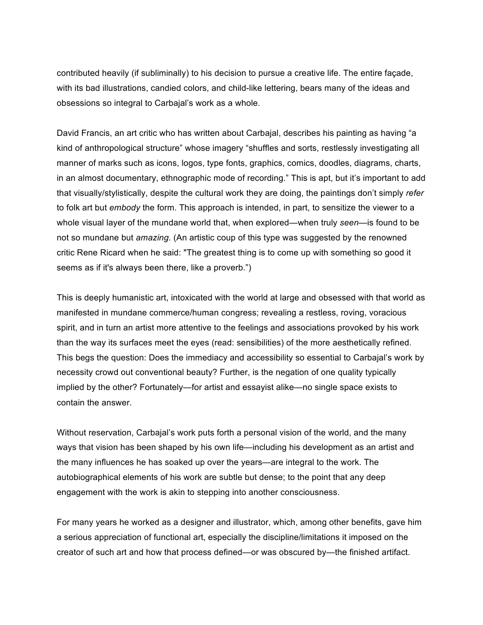contributed heavily (if subliminally) to his decision to pursue a creative life. The entire façade, with its bad illustrations, candied colors, and child-like lettering, bears many of the ideas and obsessions so integral to Carbajal's work as a whole.

David Francis, an art critic who has written about Carbajal, describes his painting as having "a kind of anthropological structure" whose imagery "shuffles and sorts, restlessly investigating all manner of marks such as icons, logos, type fonts, graphics, comics, doodles, diagrams, charts, in an almost documentary, ethnographic mode of recording." This is apt, but it's important to add that visually/stylistically, despite the cultural work they are doing, the paintings don't simply *refer* to folk art but *embody* the form. This approach is intended, in part, to sensitize the viewer to a whole visual layer of the mundane world that, when explored—when truly *seen*—is found to be not so mundane but *amazing*. (An artistic coup of this type was suggested by the renowned critic Rene Ricard when he said: "The greatest thing is to come up with something so good it seems as if it's always been there, like a proverb.")

This is deeply humanistic art, intoxicated with the world at large and obsessed with that world as manifested in mundane commerce/human congress; revealing a restless, roving, voracious spirit, and in turn an artist more attentive to the feelings and associations provoked by his work than the way its surfaces meet the eyes (read: sensibilities) of the more aesthetically refined. This begs the question: Does the immediacy and accessibility so essential to Carbajal's work by necessity crowd out conventional beauty? Further, is the negation of one quality typically implied by the other? Fortunately—for artist and essayist alike—no single space exists to contain the answer.

Without reservation, Carbajal's work puts forth a personal vision of the world, and the many ways that vision has been shaped by his own life—including his development as an artist and the many influences he has soaked up over the years—are integral to the work. The autobiographical elements of his work are subtle but dense; to the point that any deep engagement with the work is akin to stepping into another consciousness.

For many years he worked as a designer and illustrator, which, among other benefits, gave him a serious appreciation of functional art, especially the discipline/limitations it imposed on the creator of such art and how that process defined—or was obscured by—the finished artifact.